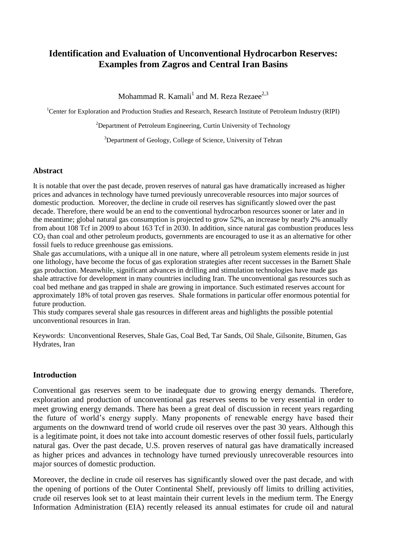# **Identification and Evaluation of Unconventional Hydrocarbon Reserves: Examples from Zagros and Central Iran Basins**

Mohammad R. Kamali $^{\rm l}$  and M. Reza Rezaee $^{\rm 2,3}$ 

<sup>1</sup>Center for Exploration and Production Studies and Research, Research Institute of Petroleum Industry (RIPI)

<sup>2</sup>Department of Petroleum Engineering, Curtin University of Technology

<sup>3</sup>Department of Geology, College of Science, University of Tehran

# **Abstract**

It is notable that over the past decade, proven reserves of natural gas have dramatically increased as higher prices and advances in technology have turned previously unrecoverable resources into major sources of domestic production. Moreover, the decline in crude oil reserves has significantly slowed over the past decade. Therefore, there would be an end to the conventional hydrocarbon resources sooner or later and in the meantime; global natural gas consumption is projected to grow 52%, an increase by nearly 2% annually from about 108 Tcf in 2009 to about 163 Tcf in 2030. In addition, since natural gas combustion produces less  $CO<sub>2</sub>$  than coal and other petroleum products, governments are encouraged to use it as an alternative for other fossil fuels to reduce greenhouse gas emissions.

Shale gas accumulations, with a unique all in one nature, where all petroleum system elements reside in just one lithology, have become the focus of gas exploration strategies after recent successes in the Barnett Shale gas production. Meanwhile, significant advances in drilling and stimulation technologies have made gas shale attractive for development in many countries including Iran. The unconventional gas resources such as coal bed methane and gas trapped in shale are growing in importance. Such estimated reserves account for approximately 18% of total proven gas reserves. Shale formations in particular offer enormous potential for future production.

This study compares several shale gas resources in different areas and highlights the possible potential unconventional resources in Iran.

Keywords: Unconventional Reserves, Shale Gas, Coal Bed, Tar Sands, Oil Shale, Gilsonite, Bitumen, Gas Hydrates, Iran

# **Introduction**

Conventional gas reserves seem to be inadequate due to growing energy demands. Therefore, exploration and production of unconventional gas reserves seems to be very essential in order to meet growing energy demands. There has been a great deal of discussion in recent years regarding the future of world's energy supply. Many proponents of renewable energy have based their arguments on the downward trend of world crude oil reserves over the past 30 years. Although this is a legitimate point, it does not take into account domestic reserves of other fossil fuels, particularly natural gas. Over the past decade, U.S. proven reserves of natural gas have dramatically increased as higher prices and advances in technology have turned previously unrecoverable resources into major sources of domestic production.

Moreover, the decline in crude oil reserves has significantly slowed over the past decade, and with the opening of portions of the Outer Continental Shelf, previously off limits to drilling activities, crude oil reserves look set to at least maintain their current levels in the medium term. The Energy Information Administration (EIA) recently released its annual estimates for crude oil and natural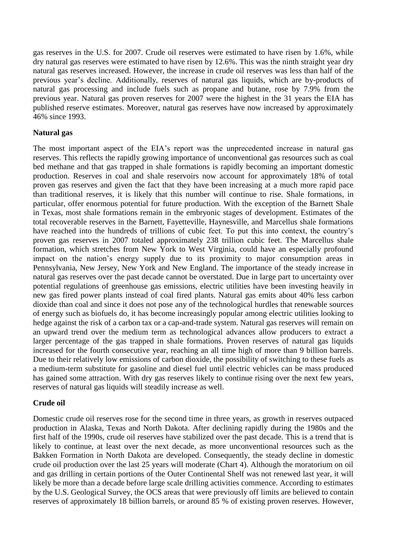gas reserves in the U.S. for 2007. Crude oil reserves were estimated to have risen by 1.6%, while dry natural gas reserves were estimated to have risen by 12.6%. This was the ninth straight year dry natural gas reserves increased. However, the increase in crude oil reserves was less than half of the previous year's decline. Additionally, reserves of natural gas liquids, which are by-products of natural gas processing and include fuels such as propane and butane, rose by 7.9% from the previous year. Natural gas proven reserves for 2007 were the highest in the 31 years the EIA has published reserve estimates. Moreover, natural gas reserves have now increased by approximately 46% since 1993.

# **Natural gas**

The most important aspect of the EIA's report was the unprecedented increase in natural gas reserves. This reflects the rapidly growing importance of unconventional gas resources such as coal bed methane and that gas trapped in shale formations is rapidly becoming an important domestic production. Reserves in coal and shale reservoirs now account for approximately 18% of total proven gas reserves and given the fact that they have been increasing at a much more rapid pace than traditional reserves, it is likely that this number will continue to rise. Shale formations, in particular, offer enormous potential for future production. With the exception of the Barnett Shale in Texas, most shale formations remain in the embryonic stages of development. Estimates of the total recoverable reserves in the Barnett, Fayetteville, Haynesville, and Marcellus shale formations have reached into the hundreds of trillions of cubic feet. To put this into context, the country's proven gas reserves in 2007 totaled approximately 238 trillion cubic feet. The Marcellus shale formation, which stretches from New York to West Virginia, could have an especially profound impact on the nation's energy supply due to its proximity to major consumption areas in Pennsylvania, New Jersey, New York and New England. The importance of the steady increase in natural gas reserves over the past decade cannot be overstated. Due in large part to uncertainty over potential regulations of greenhouse gas emissions, electric utilities have been investing heavily in new gas fired power plants instead of coal fired plants. Natural gas emits about 40% less carbon dioxide than coal and since it does not pose any of the technological hurdles that renewable sources of energy such as biofuels do, it has become increasingly popular among electric utilities looking to hedge against the risk of a carbon tax or a cap-and-trade system. Natural gas reserves will remain on an upward trend over the medium term as technological advances allow producers to extract a larger percentage of the gas trapped in shale formations. Proven reserves of natural gas liquids increased for the fourth consecutive year, reaching an all time high of more than 9 billion barrels. Due to their relatively low emissions of carbon dioxide, the possibility of switching to these fuels as a medium-term substitute for gasoline and diesel fuel until electric vehicles can be mass produced has gained some attraction. With dry gas reserves likely to continue rising over the next few years, reserves of natural gas liquids will steadily increase as well.

# **Crude oil**

Domestic crude oil reserves rose for the second time in three years, as growth in reserves outpaced production in Alaska, Texas and North Dakota. After declining rapidly during the 1980s and the first half of the 1990s, crude oil reserves have stabilized over the past decade. This is a trend that is likely to continue, at least over the next decade, as more unconventional resources such as the Bakken Formation in North Dakota are developed. Consequently, the steady decline in domestic crude oil production over the last 25 years will moderate (Chart 4). Although the moratorium on oil and gas drilling in certain portions of the Outer Continental Shelf was not renewed last year, it will likely be more than a decade before large scale drilling activities commence. According to estimates by the U.S. Geological Survey, the OCS areas that were previously off limits are believed to contain reserves of approximately 18 billion barrels, or around 85 % of existing proven reserves. However,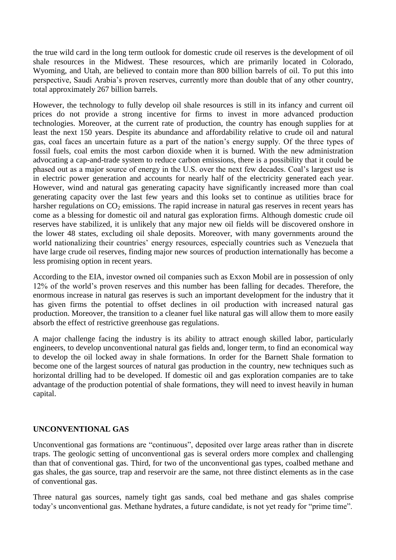the true wild card in the long term outlook for domestic crude oil reserves is the development of oil shale resources in the Midwest. These resources, which are primarily located in Colorado, Wyoming, and Utah, are believed to contain more than 800 billion barrels of oil. To put this into perspective, Saudi Arabia's proven reserves, currently more than double that of any other country, total approximately 267 billion barrels.

However, the technology to fully develop oil shale resources is still in its infancy and current oil prices do not provide a strong incentive for firms to invest in more advanced production technologies. Moreover, at the current rate of production, the country has enough supplies for at least the next 150 years. Despite its abundance and affordability relative to crude oil and natural gas, coal faces an uncertain future as a part of the nation's energy supply. Of the three types of fossil fuels, coal emits the most carbon dioxide when it is burned. With the new administration advocating a cap-and-trade system to reduce carbon emissions, there is a possibility that it could be phased out as a major source of energy in the U.S. over the next few decades. Coal's largest use is in electric power generation and accounts for nearly half of the electricity generated each year. However, wind and natural gas generating capacity have significantly increased more than coal generating capacity over the last few years and this looks set to continue as utilities brace for harsher regulations on  $CO<sub>2</sub>$  emissions. The rapid increase in natural gas reserves in recent years has come as a blessing for domestic oil and natural gas exploration firms. Although domestic crude oil reserves have stabilized, it is unlikely that any major new oil fields will be discovered onshore in the lower 48 states, excluding oil shale deposits. Moreover, with many governments around the world nationalizing their countries' energy resources, especially countries such as Venezuela that have large crude oil reserves, finding major new sources of production internationally has become a less promising option in recent years.

According to the EIA, investor owned oil companies such as Exxon Mobil are in possession of only 12% of the world's proven reserves and this number has been falling for decades. Therefore, the enormous increase in natural gas reserves is such an important development for the industry that it has given firms the potential to offset declines in oil production with increased natural gas production. Moreover, the transition to a cleaner fuel like natural gas will allow them to more easily absorb the effect of restrictive greenhouse gas regulations.

A major challenge facing the industry is its ability to attract enough skilled labor, particularly engineers, to develop unconventional natural gas fields and, longer term, to find an economical way to develop the oil locked away in shale formations. In order for the Barnett Shale formation to become one of the largest sources of natural gas production in the country, new techniques such as horizontal drilling had to be developed. If domestic oil and gas exploration companies are to take advantage of the production potential of shale formations, they will need to invest heavily in human capital.

# **UNCONVENTIONAL GAS**

Unconventional gas formations are "continuous", deposited over large areas rather than in discrete traps. The geologic setting of unconventional gas is several orders more complex and challenging than that of conventional gas. Third, for two of the unconventional gas types, coalbed methane and gas shales, the gas source, trap and reservoir are the same, not three distinct elements as in the case of conventional gas.

Three natural gas sources, namely tight gas sands, coal bed methane and gas shales comprise today's unconventional gas. Methane hydrates, a future candidate, is not yet ready for "prime time".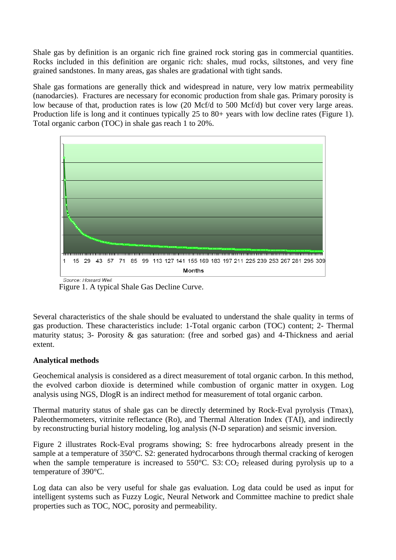Shale gas by definition is an organic rich fine grained rock storing gas in commercial quantities. Rocks included in this definition are organic rich: shales, mud rocks, siltstones, and very fine grained sandstones. In many areas, gas shales are gradational with tight sands.

Shale gas formations are generally thick and widespread in nature, very low matrix permeability (nanodarcies). Fractures are necessary for economic production from shale gas. Primary porosity is low because of that, production rates is low (20 Mcf/d to 500 Mcf/d) but cover very large areas. Production life is long and it continues typically 25 to 80+ years with low decline rates (Figure 1). Total organic carbon (TOC) in shale gas reach 1 to 20%.



Figure 1. A typical Shale Gas Decline Curve.

Several characteristics of the shale should be evaluated to understand the shale quality in terms of gas production. These characteristics include: 1-Total organic carbon (TOC) content; 2- Thermal maturity status; 3- Porosity & gas saturation: (free and sorbed gas) and 4-Thickness and aerial extent.

# **Analytical methods**

Geochemical analysis is considered as a direct measurement of total organic carbon. In this method, the evolved carbon dioxide is determined while combustion of organic matter in oxygen. Log analysis using NGS, DlogR is an indirect method for measurement of total organic carbon.

Thermal maturity status of shale gas can be directly determined by Rock-Eval pyrolysis (Tmax), Paleothermometers, vitrinite reflectance (Ro), and Thermal Alteration Index (TAI), and indirectly by reconstructing burial history modeling, log analysis (N-D separation) and seismic inversion.

Figure 2 illustrates Rock-Eval programs showing; S: free hydrocarbons already present in the sample at a temperature of 350°C. S2: generated hydrocarbons through thermal cracking of kerogen when the sample temperature is increased to  $550^{\circ}$ C. S3: CO<sub>2</sub> released during pyrolysis up to a temperature of 390°C.

Log data can also be very useful for shale gas evaluation. Log data could be used as input for intelligent systems such as Fuzzy Logic, Neural Network and Committee machine to predict shale properties such as TOC, NOC, porosity and permeability.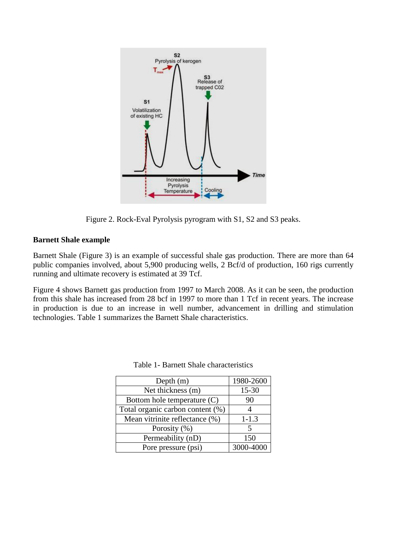

Figure 2. Rock-Eval Pyrolysis pyrogram with S1, S2 and S3 peaks.

# **Barnett Shale example**

Barnett Shale (Figure 3) is an example of successful shale gas production. There are more than 64 public companies involved, about 5,900 producing wells, 2 Bcf/d of production, 160 rigs currently running and ultimate recovery is estimated at 39 Tcf.

Figure 4 shows Barnett gas production from 1997 to March 2008. As it can be seen, the production from this shale has increased from 28 bcf in 1997 to more than 1 Tcf in recent years. The increase in production is due to an increase in well number, advancement in drilling and stimulation technologies. Table 1 summarizes the Barnett Shale characteristics.

| Depth $(m)$                      | 1980-2600 |
|----------------------------------|-----------|
| Net thickness (m)                | $15 - 30$ |
| Bottom hole temperature (C)      | 90        |
| Total organic carbon content (%) |           |
| Mean vitrinite reflectance (%)   | $1 - 1.3$ |
| Porosity $(\%)$                  | 5         |
| Permeability (nD)                | 150       |
| Pore pressure (psi)              | 3000-4000 |

|  |  |  | Table 1- Barnett Shale characteristics |
|--|--|--|----------------------------------------|
|--|--|--|----------------------------------------|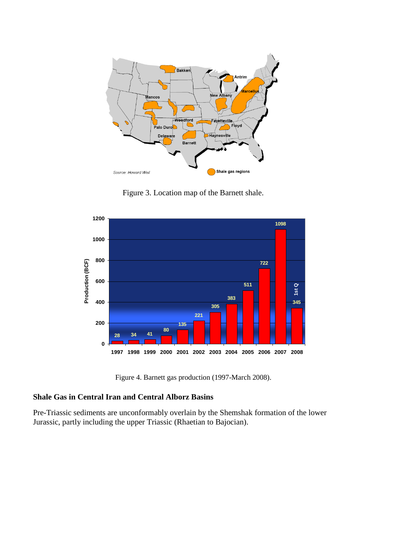

Figure 3. Location map of the Barnett shale.



Figure 4. Barnett gas production (1997-March 2008).

# **Shale Gas in Central Iran and Central Alborz Basins**

Pre-Triassic sediments are unconformably overlain by the Shemshak formation of the lower Jurassic, partly including the upper Triassic (Rhaetian to Bajocian).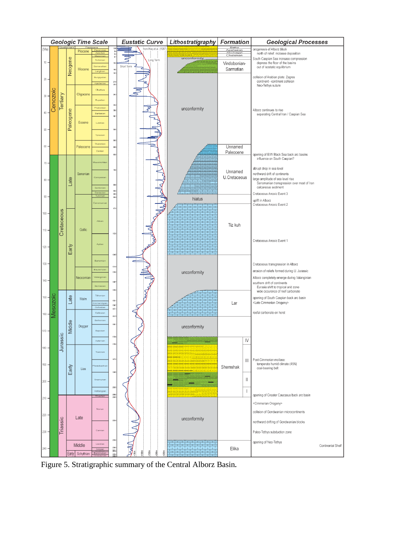|         |          |            |           |           | <b>Geologic Time Scale</b> |                                                          |            | <b>Eustatic Curve</b> |   | Lithostratigraphy           | <b>Formation</b>                         |              | <b>Geological Processes</b>                                                                             |                   |
|---------|----------|------------|-----------|-----------|----------------------------|----------------------------------------------------------|------------|-----------------------|---|-----------------------------|------------------------------------------|--------------|---------------------------------------------------------------------------------------------------------|-------------------|
| (Ma)    |          |            |           | Pliocene  | Piacenzia                  | 1.64<br>$\begin{array}{c} 3.4 \\ 5.2 \\ 6.7 \end{array}$ |            | from Haq et al. (1987 |   |                             | Baku<br>Apsheron<br>Akchagyl<br>Cheleken |              | orogenesis of Alborz block<br>north of relief: molasse deposition                                       |                   |
| $10 -$  |          |            | Neogene   |           | Tortonian                  | 10                                                       | ⋖          | Long Term             |   | unconformity                | Vindobonian-                             |              | South Caspian Sea increase compression<br>depress the floor of the basins                               |                   |
|         |          |            |           | Miocene   | Serravallian<br>Langhian   | 14.2<br>16.3                                             | Short Term |                       |   |                             | Sarmatian                                |              | out of isostatic equilibrium                                                                            |                   |
| $20 -$  |          |            |           |           | Burgigaliar<br>Aquitaniar  | 21.5                                                     |            |                       |   |                             |                                          |              | collision of Arabian plate: Zagros<br>continent - continent collision                                   |                   |
|         |          |            |           |           | Chattian                   | 23.3                                                     |            |                       |   |                             |                                          |              | Neo-Tethys suture                                                                                       |                   |
| $30 -$  | Cenozoic | Tertiary   |           | Oligocene | Rupelian                   | 29.3                                                     |            |                       |   |                             |                                          |              |                                                                                                         |                   |
|         |          |            |           |           | Priabonian                 | 35.4<br>38.6                                             |            | ş                     |   | unconformity                |                                          |              | Alborz continues to rise                                                                                |                   |
| 40.     |          |            | Paleogene |           | Bartonian                  | 42.1                                                     |            |                       |   |                             |                                          |              | separating Central Iran / Caspian Sea                                                                   |                   |
|         |          |            |           | Eocene    | Lutetian                   | 50.0                                                     |            |                       |   |                             |                                          |              |                                                                                                         |                   |
| $50 -$  |          |            |           |           | Ypresian                   |                                                          |            |                       |   |                             |                                          |              |                                                                                                         |                   |
| $60 -$  |          |            |           | Paleocene | Thanetian                  | 59.5<br>60.5                                             |            |                       |   |                             | Unnamed                                  |              |                                                                                                         |                   |
|         |          |            |           |           | Danian                     | 651                                                      |            |                       |   |                             | Paleocene                                |              | opening of E/W Black Sea back arc basins                                                                |                   |
| $70 -$  |          |            |           |           | Maastrichtia               |                                                          |            |                       |   |                             |                                          |              | influence on South Caspian?                                                                             |                   |
|         |          |            |           | Senonian  |                            | 74.0                                                     |            |                       |   |                             | Unnamed                                  |              | abrupt drop in sea level<br>northward drift of continents                                               |                   |
| $80 -$  |          |            | Late      |           | Campania                   |                                                          |            |                       |   |                             | U.Cretaceous                             |              | large amplitude of sea level rise<br>Senomanian transgression over most of Iran                         |                   |
|         |          |            |           |           | Santonian                  | 83.0<br>86.6                                             |            |                       |   |                             |                                          |              | calcareous sediment                                                                                     |                   |
| $90 -$  |          |            |           |           | Turonian                   | 83.5<br>90.4                                             |            |                       |   | hiatus                      |                                          |              | Cretaceous Anoxic Event 3<br>uplift in Alborz                                                           |                   |
|         |          |            |           |           | Conomaniar                 | 97.0                                                     |            |                       |   | <u>www.www.www.www.www.</u> |                                          |              | Cretaceous Anoxic Event 2                                                                               |                   |
| $100 -$ |          | Cretaceous |           |           |                            |                                                          |            |                       |   |                             |                                          |              |                                                                                                         |                   |
|         |          |            |           |           | Albian                     |                                                          |            |                       |   |                             | Tiz kuh                                  |              |                                                                                                         |                   |
| $110 -$ |          |            |           | Gallic    |                            | 112.0                                                    |            |                       |   |                             |                                          |              |                                                                                                         |                   |
|         |          |            |           |           | Aptian                     |                                                          |            |                       |   |                             |                                          |              | Cretaceous Anoxic Event 1                                                                               |                   |
| $120 -$ |          |            | Early     |           |                            | 124.5                                                    |            |                       |   |                             |                                          |              |                                                                                                         |                   |
| $130 -$ |          |            |           |           | Barromian                  |                                                          |            |                       |   |                             |                                          |              | Cretaceous transgression in Alborz                                                                      |                   |
|         |          |            |           |           | Hauterivian                | 131.8<br>135.0                                           |            |                       |   | unconformity                |                                          |              | erosion of reliefs formed during U. Jurassic                                                            |                   |
| $140 -$ |          |            |           | Neocomian | Valanginiar                | 140.7                                                    |            |                       |   |                             |                                          |              | Alborz completely emerge during Valanginian                                                             |                   |
|         |          |            |           |           | Berriasian                 | 145.6                                                    |            |                       |   |                             |                                          |              | southern drift of continents<br>Eurasia shift to tropical arid zone<br>wide occurence of reef carbonate |                   |
| $150 -$ |          |            | Late      | Malm      | Tithonian                  | 152.1                                                    |            |                       |   |                             |                                          |              | opening of South Caspian back arc basin                                                                 |                   |
|         | Mesozoi  |            |           |           | Cimmeridgian<br>Oxfordian  | 154.7<br>157.1                                           |            |                       |   |                             | Lar                                      |              | <late cimmerian="" orogeny=""></late>                                                                   |                   |
| $160 -$ |          |            |           |           | Callovian                  | 161.3                                                    |            |                       |   |                             |                                          |              | reefal carbonate on horst                                                                               |                   |
|         |          |            | Middle    | Dogger    | Bathonian                  | 166.1                                                    |            |                       |   | unconformity                |                                          |              |                                                                                                         |                   |
| $170 -$ |          | $\circ$    |           |           | Bajocian                   |                                                          |            |                       |   |                             |                                          |              |                                                                                                         |                   |
|         |          | Jurass     |           |           | Aalenian                   | 1731<br>178.0                                            |            |                       |   |                             |                                          | IV           |                                                                                                         |                   |
| $180 -$ |          |            |           |           | Toarcian                   |                                                          |            |                       |   |                             |                                          |              |                                                                                                         |                   |
|         |          |            |           |           |                            | 187.0                                                    |            |                       |   |                             |                                          | $\mathbb{H}$ | Post-Cimmerian mollase:<br>temperate humid climate (45N)                                                |                   |
| $190 -$ |          |            | Early     | Lias      | Pliensbachia               | 194.5                                                    |            |                       |   |                             | Shemshak                                 |              | coal-bearing belt                                                                                       |                   |
| $200 -$ |          |            |           |           | Snemurian                  |                                                          |            |                       |   |                             |                                          | Ш            |                                                                                                         |                   |
|         |          |            |           |           | Hettangian                 | 203                                                      |            |                       |   |                             |                                          |              |                                                                                                         |                   |
| $210 -$ |          |            |           |           |                            | 208.0<br>209.S                                           |            |                       |   |                             |                                          |              | opening of Greater Caucasus back arc basin                                                              |                   |
|         |          |            |           |           | Norian                     |                                                          |            |                       |   |                             |                                          |              | <cimmerian orogeny=""></cimmerian>                                                                      |                   |
| $220 -$ |          |            |           | Late      |                            |                                                          |            |                       |   | unconformity                |                                          |              | collision of Gondwanian microcontinents                                                                 |                   |
|         |          | Triassic   |           |           |                            | 223.4                                                    |            |                       |   |                             |                                          |              | northward drifting of Gondwanian blocks                                                                 |                   |
| $230 -$ |          |            |           |           | Carnian                    |                                                          |            |                       |   |                             |                                          |              | Paleo-Tethys subduction zone                                                                            |                   |
|         |          |            |           | Middle    | Landian                    | 235.0                                                    |            |                       |   |                             |                                          |              | opening of Neo-Tethys                                                                                   | Continental Shelf |
| $240 -$ |          |            | Early     | Schythian | Anis                       | 239.5<br>甜品<br>243.4                                     |            |                       | ğ |                             | Elika                                    |              |                                                                                                         |                   |

Figure 5. Stratigraphic summary of the Central Alborz Basin**.**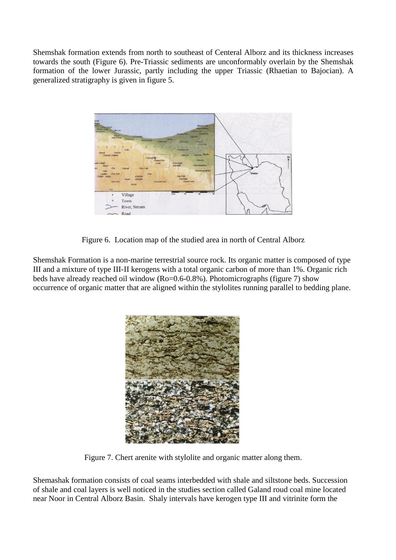Shemshak formation extends from north to southeast of Centeral Alborz and its thickness increases towards the south (Figure 6). Pre-Triassic sediments are unconformably overlain by the Shemshak formation of the lower Jurassic, partly including the upper Triassic (Rhaetian to Bajocian). A generalized stratigraphy is given in figure 5.



Figure 6. Location map of the studied area in north of Central Alborz

Shemshak Formation is a non-marine terrestrial source rock. Its organic matter is composed of type III and a mixture of type III-II kerogens with a total organic carbon of more than 1%. Organic rich beds have already reached oil window (Ro=0.6-0.8%). Photomicrographs (figure 7) show occurrence of organic matter that are aligned within the stylolites running parallel to bedding plane.



Figure 7. Chert arenite with stylolite and organic matter along them.

Shemashak formation consists of coal seams interbedded with shale and siltstone beds. Succession of shale and coal layers is well noticed in the studies section called Galand roud coal mine located near Noor in Central Alborz Basin. Shaly intervals have kerogen type III and vitrinite form the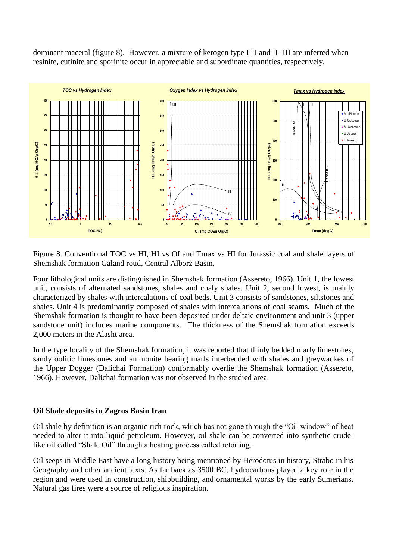dominant maceral (figure 8). However, a mixture of kerogen type I-II and II- III are inferred when resinite, cutinite and sporinite occur in appreciable and subordinate quantities, respectively.



Figure 8. Conventional TOC vs HI, HI vs OI and Tmax vs HI for Jurassic coal and shale layers of Shemshak formation Galand roud, Central Alborz Basin.

Four lithological units are distinguished in Shemshak formation (Assereto, 1966). Unit 1, the lowest unit, consists of alternated sandstones, shales and coaly shales. Unit 2, second lowest, is mainly characterized by shales with intercalations of coal beds. Unit 3 consists of sandstones, siltstones and shales. Unit 4 is predominantly composed of shales with intercalations of coal seams. Much of the Shemshak formation is thought to have been deposited under deltaic environment and unit 3 (upper sandstone unit) includes marine components. The thickness of the Shemshak formation exceeds 2,000 meters in the Alasht area.

In the type locality of the Shemshak formation, it was reported that thinly bedded marly limestones, sandy oolitic limestones and ammonite bearing marls interbedded with shales and greywackes of the Upper Dogger (Dalichai Formation) conformably overlie the Shemshak formation (Assereto, 1966). However, Dalichai formation was not observed in the studied area.

# **Oil Shale deposits in Zagros Basin Iran**

Oil shale by definition is an organic rich rock, which has not gone through the "Oil window" of heat needed to alter it into liquid petroleum. However, oil shale can be converted into synthetic crudelike oil called "Shale Oil" through a heating process called retorting.

Oil seeps in Middle East have a long history being mentioned by Herodotus in history, Strabo in his Geography and other ancient texts. As far back as 3500 BC, hydrocarbons played a key role in the region and were used in construction, shipbuilding, and ornamental works by the early Sumerians. Natural gas fires were a source of religious inspiration.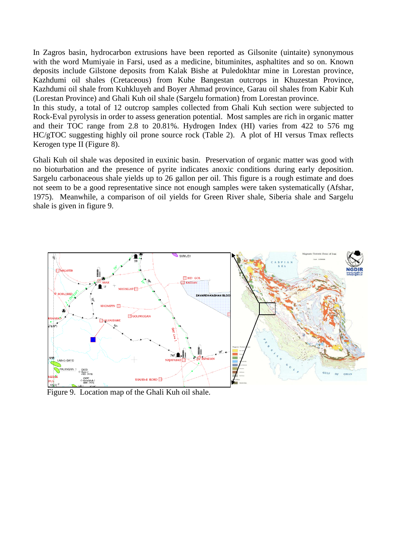In Zagros basin, hydrocarbon extrusions have been reported as Gilsonite (uintaite) synonymous with the word Mumiyaie in Farsi, used as a medicine, bituminites, asphaltites and so on. Known deposits include Gilstone deposits from Kalak Bishe at Puledokhtar mine in Lorestan province, Kazhdumi oil shales (Cretaceous) from Kuhe Bangestan outcrops in Khuzestan Province, Kazhdumi oil shale from Kuhkluyeh and Boyer Ahmad province, Garau oil shales from Kabir Kuh (Lorestan Province) and Ghali Kuh oil shale (Sargelu formation) from Lorestan province.

In this study, a total of 12 outcrop samples collected from Ghali Kuh section were subjected to Rock-Eval pyrolysis in order to assess generation potential. Most samples are rich in organic matter and their TOC range from 2.8 to 20.81%. Hydrogen Index (HI) varies from 422 to 576 mg HC/gTOC suggesting highly oil prone source rock (Table 2). A plot of HI versus Tmax reflects Kerogen type II (Figure 8).

Ghali Kuh oil shale was deposited in euxinic basin. Preservation of organic matter was good with no bioturbation and the presence of pyrite indicates anoxic conditions during early deposition. Sargelu carbonaceous shale yields up to 26 gallon per oil. This figure is a rough estimate and does not seem to be a good representative since not enough samples were taken systematically (Afshar, 1975). Meanwhile, a comparison of oil yields for Green River shale, Siberia shale and Sargelu shale is given in figure 9.



Figure 9. Location map of the Ghali Kuh oil shale.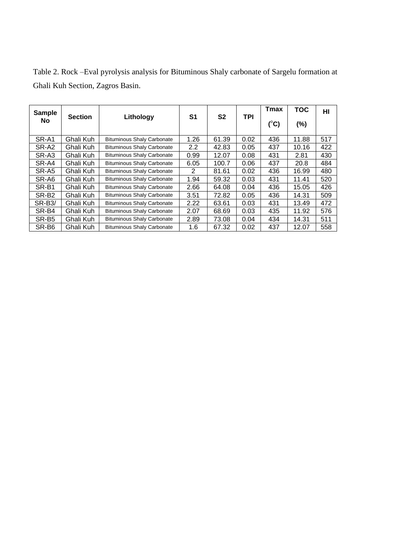| <b>Sample</b>     |                |                                   | S1             |                |            | <b>T</b> max  | <b>TOC</b> | HI  |
|-------------------|----------------|-----------------------------------|----------------|----------------|------------|---------------|------------|-----|
| <b>No</b>         | <b>Section</b> | Lithology                         |                | S <sub>2</sub> | <b>TPI</b> | $(^{\circ}C)$ | (%)        |     |
| SR-A1             | Ghali Kuh      | <b>Bituminous Shaly Carbonate</b> | 1.26           | 61.39          | 0.02       | 436           | 11.88      | 517 |
| SR-A2             | Ghali Kuh      | <b>Bituminous Shaly Carbonate</b> | 2.2            | 42.83          | 0.05       | 437           | 10.16      | 422 |
| SR-A3             | Ghali Kuh      | <b>Bituminous Shaly Carbonate</b> | 0.99           | 12.07          | 0.08       | 431           | 2.81       | 430 |
| SR-A4             | Ghali Kuh      | <b>Bituminous Shaly Carbonate</b> | 6.05           | 100.7          | 0.06       | 437           | 20.8       | 484 |
| SR-A5             | Ghali Kuh      | <b>Bituminous Shaly Carbonate</b> | $\overline{2}$ | 81.61          | 0.02       | 436           | 16.99      | 480 |
| SR-A6             | Ghali Kuh      | <b>Bituminous Shaly Carbonate</b> | 1.94           | 59.32          | 0.03       | 431           | 11.41      | 520 |
| SR-B1             | Ghali Kuh      | <b>Bituminous Shaly Carbonate</b> | 2.66           | 64.08          | 0.04       | 436           | 15.05      | 426 |
| SR-B <sub>2</sub> | Ghali Kuh      | <b>Bituminous Shaly Carbonate</b> | 3.51           | 72.82          | 0.05       | 436           | 14.31      | 509 |
| <b>SR-B3/</b>     | Ghali Kuh      | <b>Bituminous Shaly Carbonate</b> | 2.22           | 63.61          | 0.03       | 431           | 13.49      | 472 |
| SR-B4             | Ghali Kuh      | <b>Bituminous Shaly Carbonate</b> | 2.07           | 68.69          | 0.03       | 435           | 11.92      | 576 |
| SR-B <sub>5</sub> | Ghali Kuh      | <b>Bituminous Shaly Carbonate</b> | 2.89           | 73.08          | 0.04       | 434           | 14.31      | 511 |
| SR-B <sub>6</sub> | Ghali Kuh      | <b>Bituminous Shaly Carbonate</b> | 1.6            | 67.32          | 0.02       | 437           | 12.07      | 558 |

Table 2. Rock –Eval pyrolysis analysis for Bituminous Shaly carbonate of Sargelu formation at Ghali Kuh Section, Zagros Basin.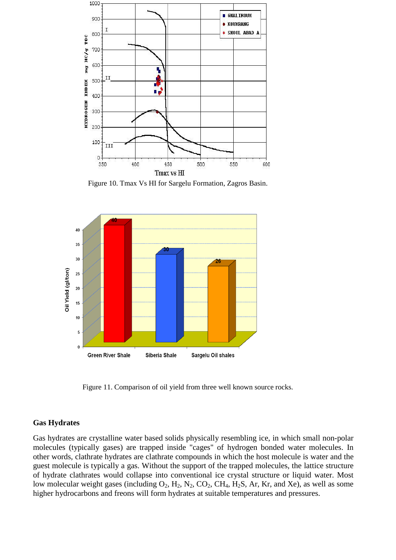

Figure 10. Tmax Vs HI for Sargelu Formation, Zagros Basin.



Figure 11. Comparison of oil yield from three well known source rocks.

#### **Gas Hydrates**

Gas hydrates are [crystalline](http://en.wikipedia.org/wiki/Crystal) water based [solids](http://en.wikipedia.org/wiki/Solid) physically resembling [ice,](http://en.wikipedia.org/wiki/Ice) in which small [non-polar](http://en.wikipedia.org/wiki/Chemical_polarity) [molecules](http://en.wikipedia.org/wiki/Molecule) (typically [gases\)](http://en.wikipedia.org/wiki/Gas) are trapped inside "cages" of [hydrogen bonded](http://en.wikipedia.org/wiki/Hydrogen_bond) [water molecules.](http://en.wikipedia.org/wiki/Water_(molecule)) In other words, clathrate hydrates are [clathrate compounds](http://en.wikipedia.org/wiki/Clathrate_compounds) in which the host molecule is [water](http://en.wikipedia.org/wiki/Water) and the guest molecule is typically a gas. Without the support of the trapped molecules, the [lattice](http://en.wikipedia.org/wiki/Crystal_structure) structure of hydrate clathrates would collapse into conventional ice crystal structure or liquid water. Most low molecular weight gases (including  $O_2$ ,  $H_2$ ,  $N_2$ ,  $CO_2$ ,  $CH_4$ ,  $H_2S$ , [Ar,](http://en.wikipedia.org/wiki/Argon) [Kr,](http://en.wikipedia.org/wiki/Krypton) and [Xe\)](http://en.wikipedia.org/wiki/Xenon), as well as some higher [hydrocarbons](http://en.wikipedia.org/wiki/Hydrocarbon) and [freons](http://en.wikipedia.org/wiki/Freon) will form [hydrates](http://en.wikipedia.org/wiki/Hydrate) at suitable temperatures and pressures.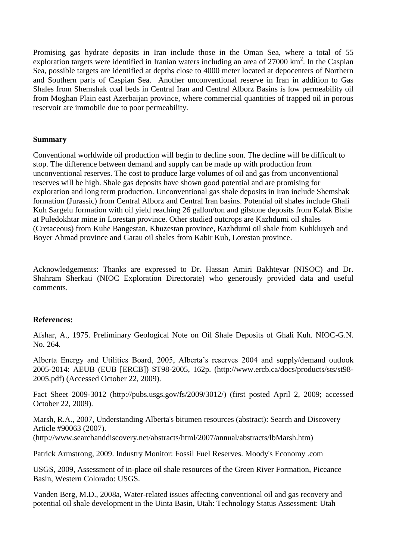Promising gas hydrate deposits in Iran include those in the Oman Sea, where a total of 55 exploration targets were identified in Iranian waters including an area of  $27000 \text{ km}^2$ . In the Caspian Sea, possible targets are identified at depths close to 4000 meter located at depocenters of Northern and Southern parts of Caspian Sea. Another unconventional reserve in Iran in addition to Gas Shales from Shemshak coal beds in Central Iran and Central Alborz Basins is low permeability oil from Moghan Plain east Azerbaijan province, where commercial quantities of trapped oil in porous reservoir are immobile due to poor permeability.

# **Summary**

Conventional worldwide oil production will begin to decline soon. The decline will be difficult to stop. The difference between demand and supply can be made up with production from unconventional reserves. The cost to produce large volumes of oil and gas from unconventional reserves will be high. Shale gas deposits have shown good potential and are promising for exploration and long term production. Unconventional gas shale deposits in Iran include Shemshak formation (Jurassic) from Central Alborz and Central Iran basins. Potential oil shales include Ghali Kuh Sargelu formation with oil yield reaching 26 gallon/ton and gilstone deposits from Kalak Bishe at Puledokhtar mine in Lorestan province. Other studied outcrops are Kazhdumi oil shales (Cretaceous) from Kuhe Bangestan, Khuzestan province, Kazhdumi oil shale from Kuhkluyeh and Boyer Ahmad province and Garau oil shales from Kabir Kuh, Lorestan province.

Acknowledgements: Thanks are expressed to Dr. Hassan Amiri Bakhteyar (NISOC) and Dr. Shahram Sherkati (NIOC Exploration Directorate) who generously provided data and useful comments.

# **References:**

Afshar, A., 1975. Preliminary Geological Note on Oil Shale Deposits of Ghali Kuh. NIOC-G.N. No. 264.

Alberta Energy and Utilities Board, 2005, Alberta's reserves 2004 and supply/demand outlook 2005-2014: AEUB (EUB [ERCB]) ST98-2005, 162p. (http://www.ercb.ca/docs/products/sts/st98- 2005.pdf) (Accessed October 22, 2009).

Fact Sheet 2009-3012 (http://pubs.usgs.gov/fs/2009/3012/) (first posted April 2, 2009; accessed October 22, 2009).

Marsh, R.A., 2007, Understanding Alberta's bitumen resources (abstract): Search and Discovery Article #90063 (2007). (http://www.searchanddiscovery.net/abstracts/html/2007/annual/abstracts/lbMarsh.htm)

Patrick Armstrong, 2009. Industry Monitor: Fossil Fuel Reserves. Moody's Economy .com

USGS, 2009, Assessment of in-place oil shale resources of the Green River Formation, Piceance Basin, Western Colorado: USGS.

Vanden Berg, M.D., 2008a, Water-related issues affecting conventional oil and gas recovery and potential oil shale development in the Uinta Basin, Utah: Technology Status Assessment: Utah